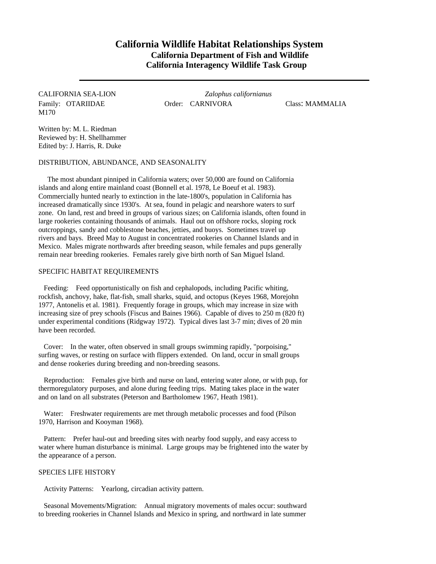## **California Wildlife Habitat Relationships System California Department of Fish and Wildlife California Interagency Wildlife Task Group**

# M170

CALIFORNIA SEA-LION *Zalophus californianus* Family: OTARIIDAE **Order: CARNIVORA** Class: MAMMALIA

Written by: M. L. Riedman Reviewed by: H. Shellhammer Edited by: J. Harris, R. Duke

DISTRIBUTION, ABUNDANCE, AND SEASONALITY

The most abundant pinniped in California waters; over 50,000 are found on California islands and along entire mainland coast (Bonnell et al. 1978, Le Boeuf et al. 1983). Commercially hunted nearly to extinction in the late-1800's, population in California has increased dramatically since 1930's. At sea, found in pelagic and nearshore waters to surf zone. On land, rest and breed in groups of various sizes; on California islands, often found in large rookeries containing thousands of animals. Haul out on offshore rocks, sloping rock outcroppings, sandy and cobblestone beaches, jetties, and buoys. Sometimes travel up rivers and bays. Breed May to August in concentrated rookeries on Channel Islands and in Mexico. Males migrate northwards after breeding season, while females and pups generally remain near breeding rookeries. Females rarely give birth north of San Miguel Island.

#### SPECIFIC HABITAT REQUIREMENTS

Feeding: Feed opportunistically on fish and cephalopods, including Pacific whiting, rockfish, anchovy, hake, flat-fish, small sharks, squid, and octopus (Keyes 1968, Morejohn 1977, Antonelis et al. 1981). Frequently forage in groups, which may increase in size with increasing size of prey schools (Fiscus and Baines 1966). Capable of dives to 250 m (820 ft) under experimental conditions (Ridgway 1972). Typical dives last 3-7 min; dives of 20 min have been recorded.

Cover: In the water, often observed in small groups swimming rapidly, "porpoising," surfing waves, or resting on surface with flippers extended. On land, occur in small groups and dense rookeries during breeding and non-breeding seasons.

Reproduction: Females give birth and nurse on land, entering water alone, or with pup, for thermoregulatory purposes, and alone during feeding trips. Mating takes place in the water and on land on all substrates (Peterson and Bartholomew 1967, Heath 1981).

Water: Freshwater requirements are met through metabolic processes and food (Pilson 1970, Harrison and Kooyman 1968).

Pattern: Prefer haul-out and breeding sites with nearby food supply, and easy access to water where human disturbance is minimal. Large groups may be frightened into the water by the appearance of a person.

### SPECIES LIFE HISTORY

Activity Patterns: Yearlong, circadian activity pattern.

Seasonal Movements/Migration: Annual migratory movements of males occur: southward to breeding rookeries in Channel Islands and Mexico in spring, and northward in late summer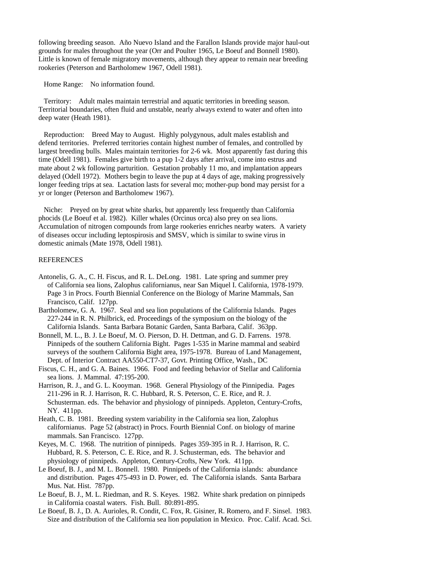following breeding season. Año Nuevo Island and the Farallon Islands provide major haul-out grounds for males throughout the year (Orr and Poulter 1965, Le Boeuf and Bonnell 1980). Little is known of female migratory movements, although they appear to remain near breeding rookeries (Peterson and Bartholomew 1967, Odell 1981).

Home Range: No information found.

Territory: Adult males maintain terrestrial and aquatic territories in breeding season. Territorial boundaries, often fluid and unstable, nearly always extend to water and often into deep water (Heath 1981).

Reproduction: Breed May to August. Highly polygynous, adult males establish and defend territories. Preferred territories contain highest number of females, and controlled by largest breeding bulls. Males maintain territories for 2-6 wk. Most apparently fast during this time (Odell 1981). Females give birth to a pup 1-2 days after arrival, come into estrus and mate about 2 wk following parturition. Gestation probably 11 mo, and implantation appears delayed (Odell 1972). Mothers begin to leave the pup at 4 days of age, making progressively longer feeding trips at sea. Lactation lasts for several mo; mother-pup bond may persist for a yr or longer (Peterson and Bartholomew 1967).

Niche: Preyed on by great white sharks, but apparently less frequently than California phocids (Le Boeuf et al. 1982). Killer whales (Orcinus orca) also prey on sea lions. Accumulation of nitrogen compounds from large rookeries enriches nearby waters. A variety of diseases occur including leptospirosis and SMSV, which is similar to swine virus in domestic animals (Mate 1978, Odell 1981).

#### **REFERENCES**

- Antonelis, G. A., C. H. Fiscus, and R. L. DeLong. 1981. Late spring and summer prey of California sea lions, Zalophus californianus, near San Miquel I. California, 1978-1979. Page 3 in Procs. Fourth Biennial Conference on the Biology of Marine Mammals, San Francisco, Calif. 127pp.
- Bartholomew, G. A. 1967. Seal and sea lion populations of the California Islands. Pages 227-244 in R. N. Philbrick, ed. Proceedings of the symposium on the biology of the California Islands. Santa Barbara Botanic Garden, Santa Barbara, Calif. 363pp.
- Bonnell, M. L., B. J. Le Boeuf, M. O. Pierson, D. H. Dettman, and G. D. Farrens. 1978. Pinnipeds of the southern California Bight. Pages 1-535 in Marine mammal and seabird surveys of the southern California Bight area, 1975-1978. Bureau of Land Management, Dept. of Interior Contract AA550-CT7-37, Govt. Printing Office, Wash., DC
- Fiscus, C. H., and G. A. Baines. 1966. Food and feeding behavior of Stellar and California sea lions. J. Mammal. 47:195-200.
- Harrison, R. J., and G. L. Kooyman. 1968. General Physiology of the Pinnipedia. Pages 211-296 in R. J. Harrison, R. C. Hubbard, R. S. Peterson, C. E. Rice, and R. J. Schusterman. eds. The behavior and physiology of pinnipeds. Appleton, Century-Crofts, NY. 411pp.
- Heath, C. B. 1981. Breeding system variability in the California sea lion, Zalophus californianus. Page 52 (abstract) in Procs. Fourth Biennial Conf. on biology of marine mammals. San Francisco. 127pp.
- Keyes, M. C. 1968. The nutrition of pinnipeds. Pages 359-395 in R. J. Harrison, R. C. Hubbard, R. S. Peterson, C. E. Rice, and R. J. Schusterman, eds. The behavior and physiology of pinnipeds. Appleton, Century-Crofts, New York. 411pp.
- Le Boeuf, B. J., and M. L. Bonnell. 1980. Pinnipeds of the California islands: abundance and distribution. Pages 475-493 in D. Power, ed. The California islands. Santa Barbara Mus. Nat. Hist. 787pp.
- Le Boeuf, B. J., M. L. Riedman, and R. S. Keyes. 1982. White shark predation on pinnipeds in California coastal waters. Fish. Bull. 80:891-895.
- Le Boeuf, B. J., D. A. Aurioles, R. Condit, C. Fox, R. Gisiner, R. Romero, and F. Sinsel. 1983. Size and distribution of the California sea lion population in Mexico. Proc. Calif. Acad. Sci.